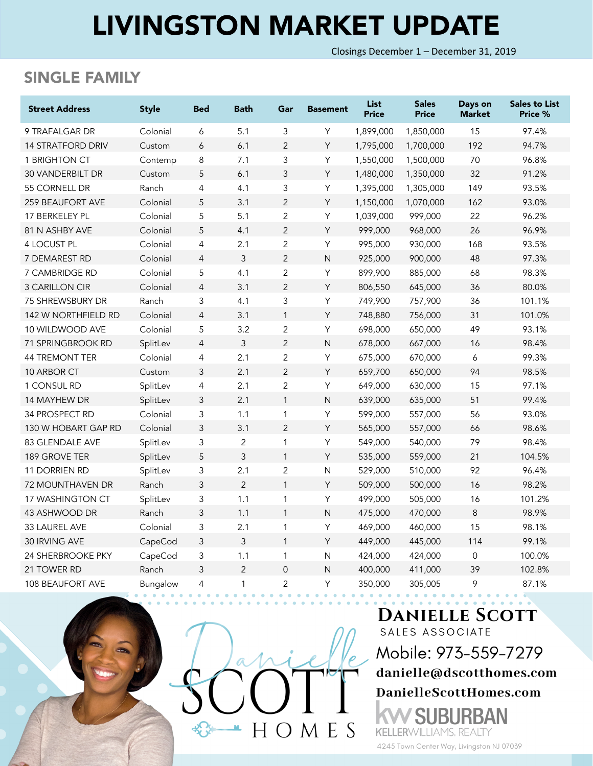# LIVINGSTON MARKET UPDATE

Closings December 1 – December 31, 2019

## SINGLE FAMILY

| <b>Street Address</b>    | <b>Style</b> | <b>Bed</b>                | <b>Bath</b>    | Gar            | <b>Basement</b> | <b>List</b><br><b>Price</b> | <b>Sales</b><br><b>Price</b> | Days on<br><b>Market</b> | <b>Sales to List</b><br>Price % |
|--------------------------|--------------|---------------------------|----------------|----------------|-----------------|-----------------------------|------------------------------|--------------------------|---------------------------------|
| 9 TRAFALGAR DR           | Colonial     | 6                         | 5.1            | 3              | Y               | 1,899,000                   | 1,850,000                    | 15                       | 97.4%                           |
| <b>14 STRATFORD DRIV</b> | Custom       | 6                         | 6.1            | $\overline{2}$ | Y               | 1,795,000                   | 1,700,000                    | 192                      | 94.7%                           |
| 1 BRIGHTON CT            | Contemp      | 8                         | 7.1            | 3              | Υ               | 1,550,000                   | 1,500,000                    | 70                       | 96.8%                           |
| 30 VANDERBILT DR         | Custom       | 5                         | 6.1            | 3              | Y               | 1,480,000                   | 1,350,000                    | 32                       | 91.2%                           |
| 55 CORNELL DR            | Ranch        | $\overline{4}$            | 4.1            | 3              | Υ               | 1,395,000                   | 1,305,000                    | 149                      | 93.5%                           |
| 259 BEAUFORT AVE         | Colonial     | 5                         | 3.1            | $\overline{2}$ | Y               | 1,150,000                   | 1,070,000                    | 162                      | 93.0%                           |
| 17 BERKELEY PL           | Colonial     | 5                         | 5.1            | $\overline{c}$ | Υ               | 1,039,000                   | 999,000                      | 22                       | 96.2%                           |
| 81 N ASHBY AVE           | Colonial     | 5                         | 4.1            | $\overline{2}$ | Y               | 999,000                     | 968,000                      | 26                       | 96.9%                           |
| 4 LOCUST PL              | Colonial     | $\overline{4}$            | 2.1            | $\overline{2}$ | Υ               | 995,000                     | 930,000                      | 168                      | 93.5%                           |
| 7 DEMAREST RD            | Colonial     | $\overline{4}$            | $\mathfrak{Z}$ | $\overline{2}$ | $\mathsf N$     | 925,000                     | 900,000                      | 48                       | 97.3%                           |
| 7 CAMBRIDGE RD           | Colonial     | 5                         | 4.1            | $\mathbf{2}$   | Υ               | 899,900                     | 885,000                      | 68                       | 98.3%                           |
| <b>3 CARILLON CIR</b>    | Colonial     | $\overline{4}$            | 3.1            | $\overline{2}$ | Y               | 806,550                     | 645,000                      | 36                       | 80.0%                           |
| <b>75 SHREWSBURY DR</b>  | Ranch        | 3                         | 4.1            | 3              | Υ               | 749,900                     | 757,900                      | 36                       | 101.1%                          |
| 142 W NORTHFIELD RD      | Colonial     | $\overline{4}$            | 3.1            | $\mathbf{1}$   | Y               | 748,880                     | 756,000                      | 31                       | 101.0%                          |
| 10 WILDWOOD AVE          | Colonial     | 5                         | 3.2            | $\overline{2}$ | Υ               | 698,000                     | 650,000                      | 49                       | 93.1%                           |
| 71 SPRINGBROOK RD        | SplitLev     | $\overline{4}$            | 3              | $\overline{2}$ | N               | 678,000                     | 667,000                      | 16                       | 98.4%                           |
| <b>44 TREMONT TER</b>    | Colonial     | $\overline{4}$            | 2.1            | $\overline{2}$ | Υ               | 675,000                     | 670,000                      | 6                        | 99.3%                           |
| 10 ARBOR CT              | Custom       | 3                         | 2.1            | $\overline{2}$ | Y               | 659,700                     | 650,000                      | 94                       | 98.5%                           |
| 1 CONSUL RD              | SplitLev     | 4                         | 2.1            | $\overline{2}$ | Υ               | 649,000                     | 630,000                      | 15                       | 97.1%                           |
| 14 MAYHEW DR             | SplitLev     | $\mathsf 3$               | 2.1            | $\mathbf{1}$   | $\overline{N}$  | 639,000                     | 635,000                      | 51                       | 99.4%                           |
| 34 PROSPECT RD           | Colonial     | 3                         | 1.1            | $\mathbf{1}$   | Υ               | 599,000                     | 557,000                      | 56                       | 93.0%                           |
| 130 W HOBART GAP RD      | Colonial     | 3                         | 3.1            | $\overline{2}$ | Y               | 565,000                     | 557,000                      | 66                       | 98.6%                           |
| 83 GLENDALE AVE          | SplitLev     | 3                         | $\overline{2}$ | $\mathbf{1}$   | Υ               | 549,000                     | 540,000                      | 79                       | 98.4%                           |
| 189 GROVE TER            | SplitLev     | 5                         | 3              | $\mathbf{1}$   | Y               | 535,000                     | 559,000                      | 21                       | 104.5%                          |
| <b>11 DORRIEN RD</b>     | SplitLev     | $\ensuremath{\mathsf{3}}$ | 2.1            | $\overline{c}$ | N               | 529,000                     | 510,000                      | 92                       | 96.4%                           |
| <b>72 MOUNTHAVEN DR</b>  | Ranch        | $\mathsf 3$               | $\overline{2}$ | $\mathbf{1}$   | Y               | 509,000                     | 500,000                      | 16                       | 98.2%                           |
| 17 WASHINGTON CT         | SplitLev     | $\ensuremath{\mathsf{3}}$ | 1.1            | 1              | Υ               | 499,000                     | 505,000                      | 16                       | 101.2%                          |
| 43 ASHWOOD DR            | Ranch        | 3                         | 1.1            | $\mathbf{1}$   | N               | 475,000                     | 470,000                      | 8                        | 98.9%                           |
| 33 LAUREL AVE            | Colonial     | 3                         | 2.1            | $\mathbf{1}$   | Υ               | 469,000                     | 460,000                      | 15                       | 98.1%                           |
| 30 IRVING AVE            | CapeCod      | 3                         | 3              | $\mathbf{1}$   | Y               | 449,000                     | 445,000                      | 114                      | 99.1%                           |
| <b>24 SHERBROOKE PKY</b> | CapeCod      | 3                         | 1.1            | $\mathbf{1}$   | N               | 424,000                     | 424,000                      | $\mathbf 0$              | 100.0%                          |
| 21 TOWER RD              | Ranch        | 3                         | $\overline{2}$ | $\overline{0}$ | N               | 400,000                     | 411,000                      | 39                       | 102.8%                          |
| <b>108 BEAUFORT AVE</b>  | Bungalow     | 4                         | 1              | $\overline{2}$ | Υ               | 350,000                     | 305,005                      | 9                        | 87.1%                           |



#### **DANIELLE SCOTT** SALES ASSOCIATE

Mobile: 973-559-7279 danielle@dscotthomes.com DanielleScottHomes.com

۱N

**KELLERWILLIAMS, REALTY** 4245 Town Center Way, Livingston NJ 07039